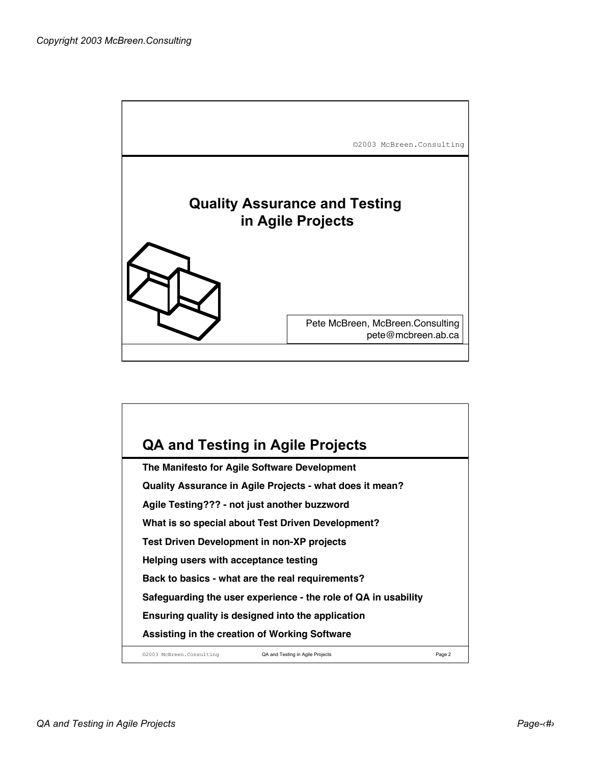

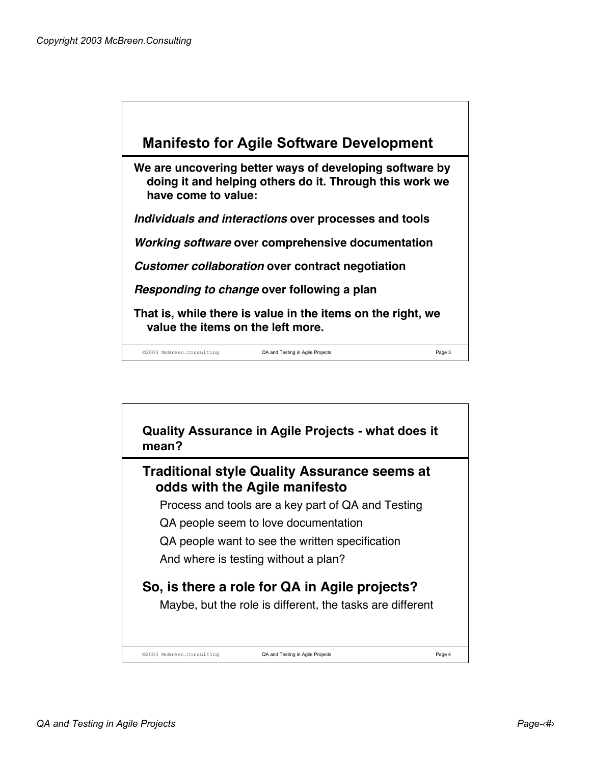

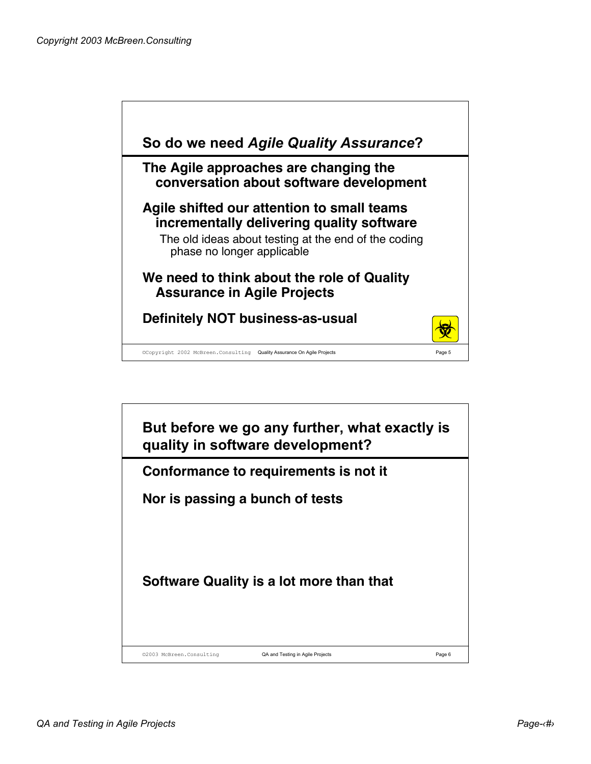

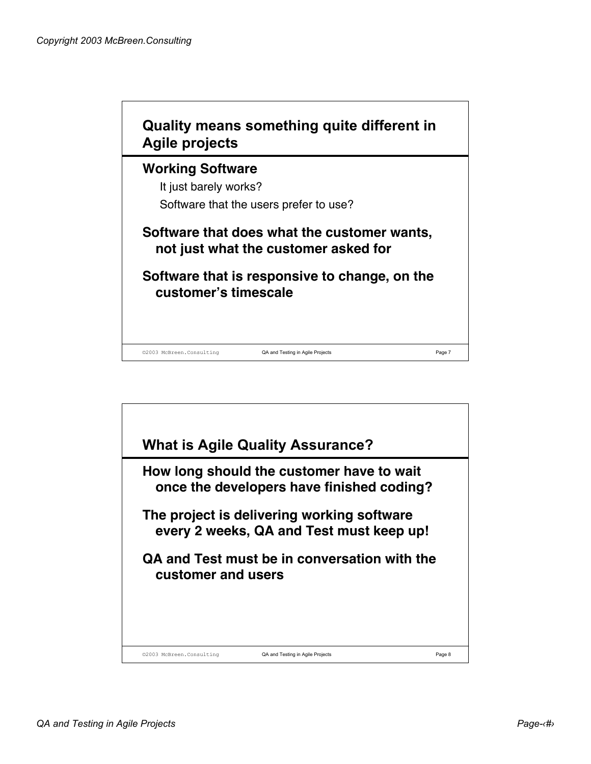

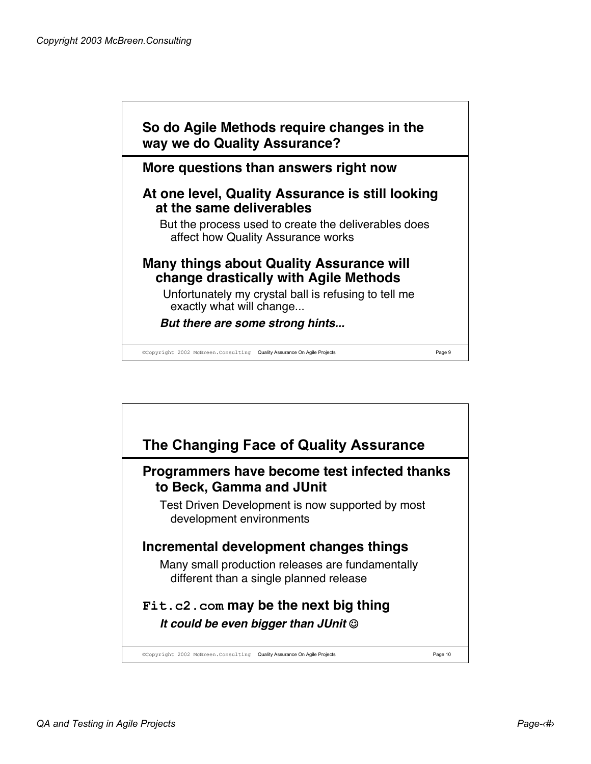

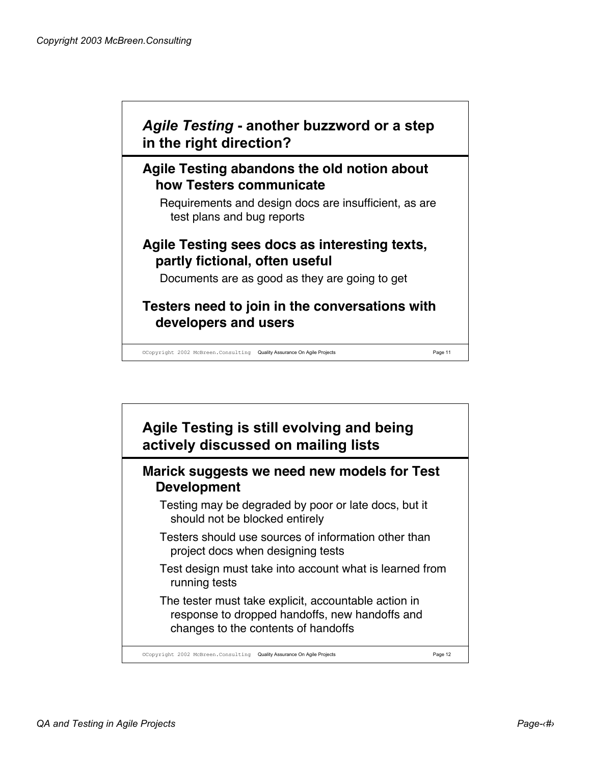

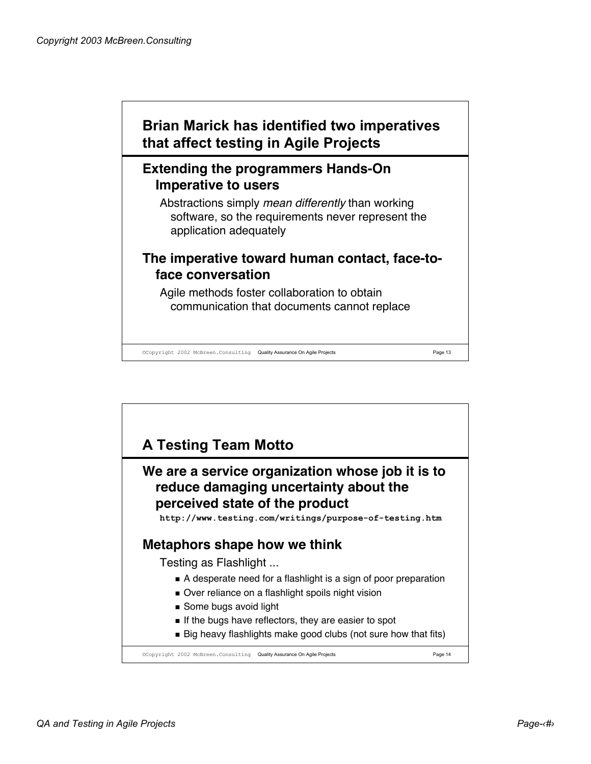## **Brian Marick has identified two imperatives that affect testing in Agile Projects**

## **Extending the programmers Hands-On Imperative to users**

Abstractions simply mean differently than working software, so the requirements never represent the application adequately

## **The imperative toward human contact, face-toface conversation**

Agile methods foster collaboration to obtain communication that documents cannot replace

©Copyright 2002 McBreen.Consulting Quality Assurance On Agile Projects Page 13

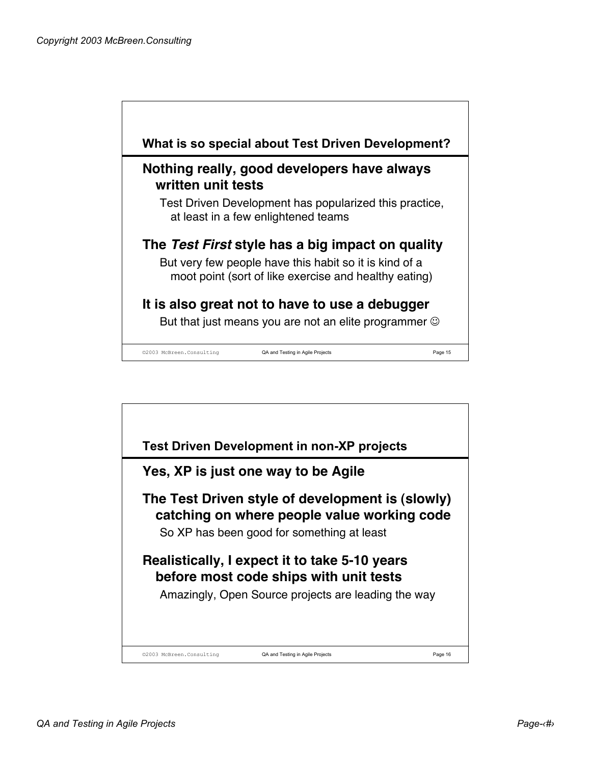

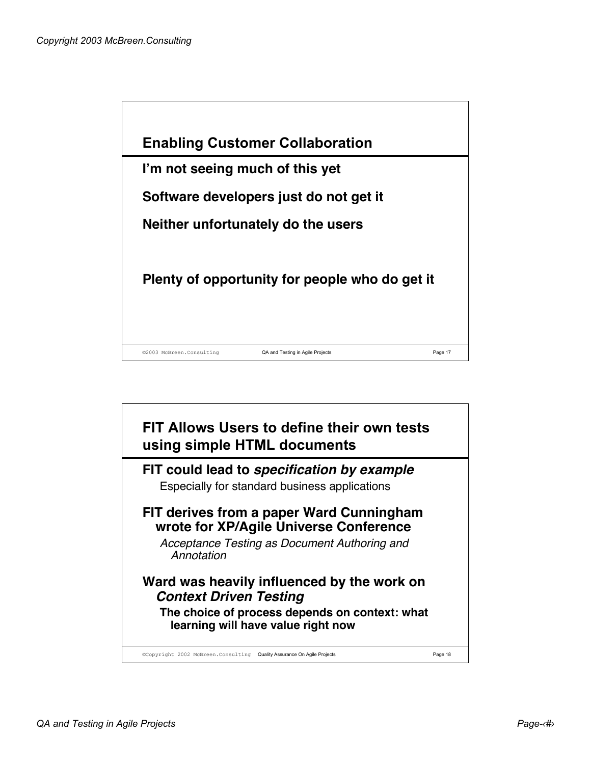

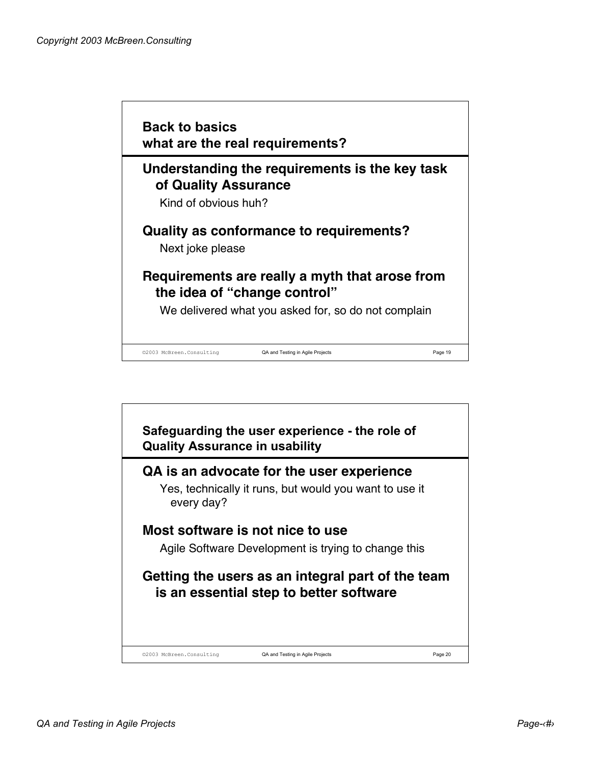

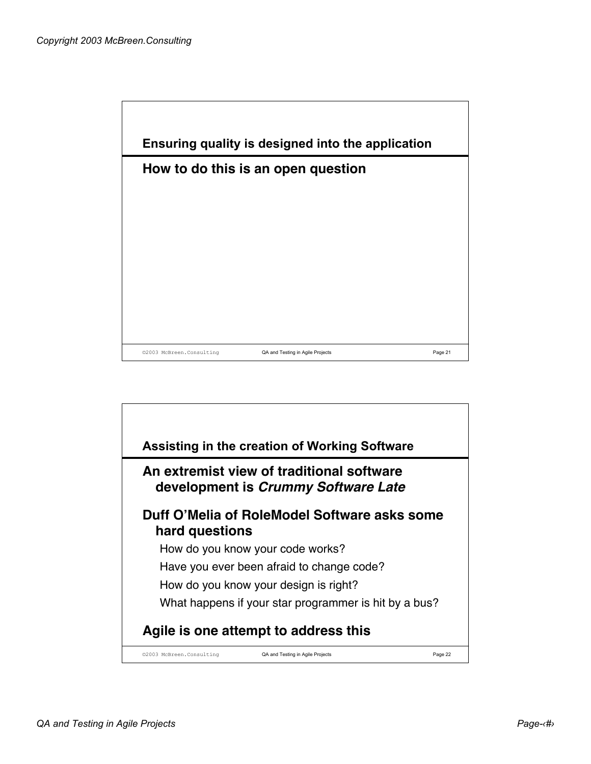